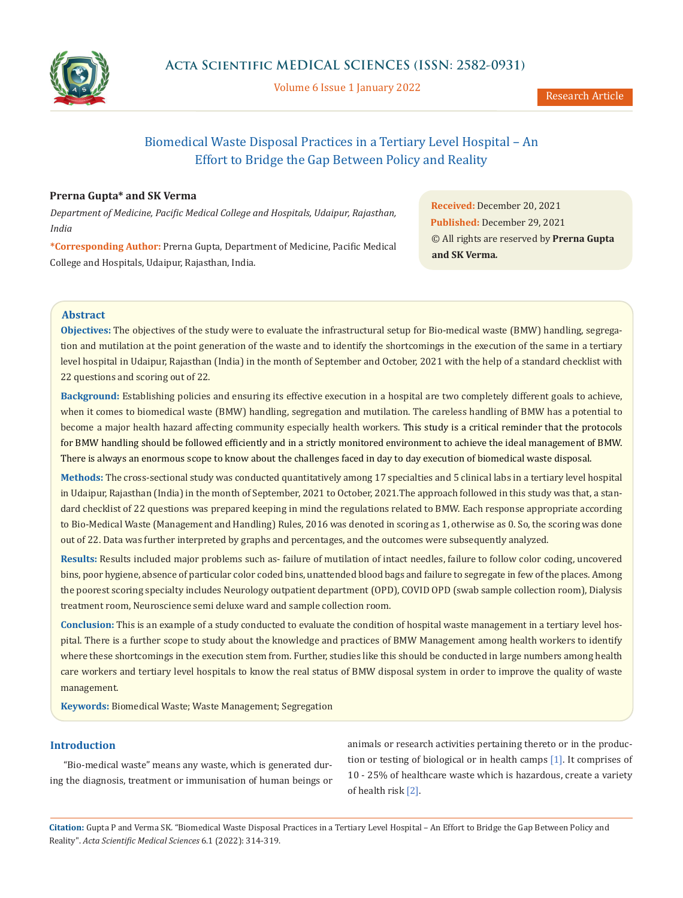

Volume 6 Issue 1 January 2022

Research Article

# Biomedical Waste Disposal Practices in a Tertiary Level Hospital – An Effort to Bridge the Gap Between Policy and Reality

# **Prerna Gupta\* and SK Verma**

*Department of Medicine, Pacific Medical College and Hospitals, Udaipur, Rajasthan, India*

**\*Corresponding Author:** Prerna Gupta, Department of Medicine, Pacific Medical College and Hospitals, Udaipur, Rajasthan, India.

**Received:** December 20, 2021 **Published:** December 29, 2021 © All rights are reserved by **Prerna Gupta and SK Verma***.*

# **Abstract**

**Objectives:** The objectives of the study were to evaluate the infrastructural setup for Bio-medical waste (BMW) handling, segregation and mutilation at the point generation of the waste and to identify the shortcomings in the execution of the same in a tertiary level hospital in Udaipur, Rajasthan (India) in the month of September and October, 2021 with the help of a standard checklist with 22 questions and scoring out of 22.

**Background:** Establishing policies and ensuring its effective execution in a hospital are two completely different goals to achieve, when it comes to biomedical waste (BMW) handling, segregation and mutilation. The careless handling of BMW has a potential to become a major health hazard affecting community especially health workers. This study is a critical reminder that the protocols for BMW handling should be followed efficiently and in a strictly monitored environment to achieve the ideal management of BMW. There is always an enormous scope to know about the challenges faced in day to day execution of biomedical waste disposal.

**Methods:** The cross-sectional study was conducted quantitatively among 17 specialties and 5 clinical labs in a tertiary level hospital in Udaipur, Rajasthan (India) in the month of September, 2021 to October, 2021.The approach followed in this study was that, a standard checklist of 22 questions was prepared keeping in mind the regulations related to BMW. Each response appropriate according to Bio-Medical Waste (Management and Handling) Rules, 2016 was denoted in scoring as 1, otherwise as 0. So, the scoring was done out of 22. Data was further interpreted by graphs and percentages, and the outcomes were subsequently analyzed.

**Results:** Results included major problems such as- failure of mutilation of intact needles, failure to follow color coding, uncovered bins, poor hygiene, absence of particular color coded bins, unattended blood bags and failure to segregate in few of the places. Among the poorest scoring specialty includes Neurology outpatient department (OPD), COVID OPD (swab sample collection room), Dialysis treatment room, Neuroscience semi deluxe ward and sample collection room.

**Conclusion:** This is an example of a study conducted to evaluate the condition of hospital waste management in a tertiary level hospital. There is a further scope to study about the knowledge and practices of BMW Management among health workers to identify where these shortcomings in the execution stem from. Further, studies like this should be conducted in large numbers among health care workers and tertiary level hospitals to know the real status of BMW disposal system in order to improve the quality of waste management.

**Keywords:** Biomedical Waste; Waste Management; Segregation

# **Introduction**

"Bio-medical waste" means any waste, which is generated during the diagnosis, treatment or immunisation of human beings or animals or research activities pertaining thereto or in the production or testing of biological or in health camps [1]. It comprises of 10 - 25% of healthcare waste which is hazardous, create a variety of health risk [2].

**Citation:** Gupta P and Verma SK*.* "Biomedical Waste Disposal Practices in a Tertiary Level Hospital – An Effort to Bridge the Gap Between Policy and Reality". *Acta Scientific Medical Sciences* 6.1 (2022): 314-319.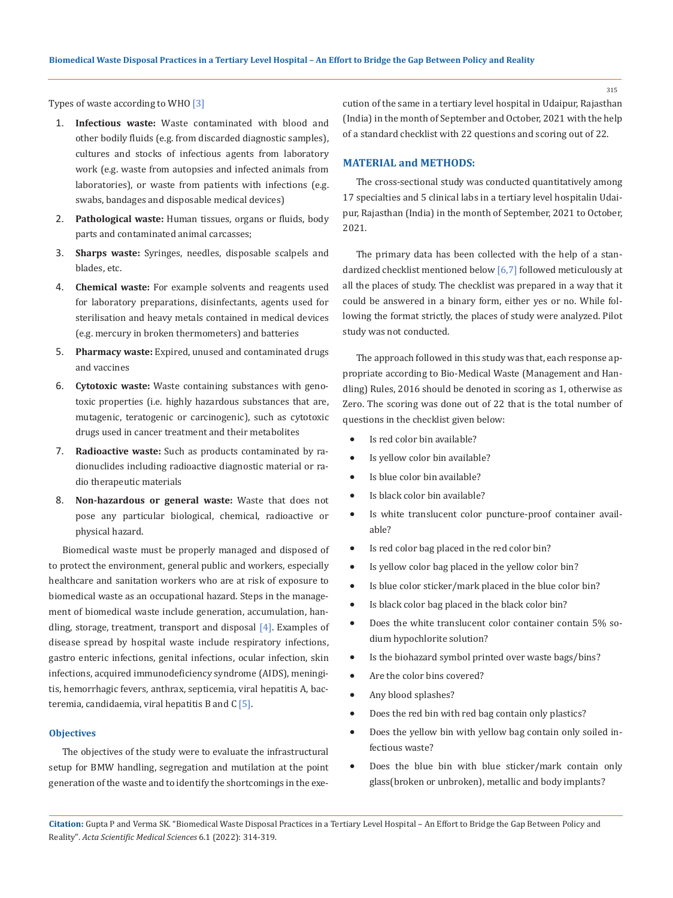315

Types of waste according to WHO [3]

- 1. **Infectious waste:** Waste contaminated with blood and other bodily fluids (e.g. from discarded diagnostic samples), cultures and stocks of infectious agents from laboratory work (e.g. waste from autopsies and infected animals from laboratories), or waste from patients with infections (e.g. swabs, bandages and disposable medical devices)
- 2. **Pathological waste:** Human tissues, organs or fluids, body parts and contaminated animal carcasses;
- 3. **Sharps waste:** Syringes, needles, disposable scalpels and blades, etc.
- 4. **Chemical waste:** For example solvents and reagents used for laboratory preparations, disinfectants, agents used for sterilisation and heavy metals contained in medical devices (e.g. mercury in broken thermometers) and batteries
- 5. **Pharmacy waste:** Expired, unused and contaminated drugs and vaccines
- 6. **Cytotoxic waste:** Waste containing substances with genotoxic properties (i.e. highly hazardous substances that are, mutagenic, teratogenic or carcinogenic), such as cytotoxic drugs used in cancer treatment and their metabolites
- 7. **Radioactive waste:** Such as products contaminated by radionuclides including radioactive diagnostic material or radio therapeutic materials
- 8. **Non-hazardous or general waste:** Waste that does not pose any particular biological, chemical, radioactive or physical hazard.

Biomedical waste must be properly managed and disposed of to protect the environment, general public and workers, especially healthcare and sanitation workers who are at risk of exposure to biomedical waste as an occupational hazard. Steps in the management of biomedical waste include generation, accumulation, handling, storage, treatment, transport and disposal [4]. Examples of disease spread by hospital waste include respiratory infections, gastro enteric infections, genital infections, ocular infection, skin infections, acquired immunodeficiency syndrome (AIDS), meningitis, hemorrhagic fevers, anthrax, septicemia, viral hepatitis A, bacteremia, candidaemia, viral hepatitis B and  $C$  [5].

#### **Objectives**

The objectives of the study were to evaluate the infrastructural setup for BMW handling, segregation and mutilation at the point generation of the waste and to identify the shortcomings in the execution of the same in a tertiary level hospital in Udaipur, Rajasthan (India) in the month of September and October, 2021 with the help of a standard checklist with 22 questions and scoring out of 22.

## **MATERIAL and METHODS:**

The cross-sectional study was conducted quantitatively among 17 specialties and 5 clinical labs in a tertiary level hospitalin Udaipur, Rajasthan (India) in the month of September, 2021 to October, 2021.

The primary data has been collected with the help of a standardized checklist mentioned below [6,7] followed meticulously at all the places of study. The checklist was prepared in a way that it could be answered in a binary form, either yes or no. While following the format strictly, the places of study were analyzed. Pilot study was not conducted.

The approach followed in this study was that, each response appropriate according to Bio-Medical Waste (Management and Handling) Rules, 2016 should be denoted in scoring as 1, otherwise as Zero. The scoring was done out of 22 that is the total number of questions in the checklist given below:

- Is red color bin available?
- Is yellow color bin available?
- Is blue color bin available?
- Is black color bin available?
- • Is white translucent color puncture-proof container available?
- • Is red color bag placed in the red color bin?
- Is yellow color bag placed in the yellow color bin?
- • Is blue color sticker/mark placed in the blue color bin?
- Is black color bag placed in the black color bin?
- Does the white translucent color container contain 5% sodium hypochlorite solution?
- • Is the biohazard symbol printed over waste bags/bins?
- Are the color bins covered?
- Any blood splashes?
- Does the red bin with red bag contain only plastics?
- • Does the yellow bin with yellow bag contain only soiled infectious waste?
- • Does the blue bin with blue sticker/mark contain only glass(broken or unbroken), metallic and body implants?

**Citation:** Gupta P and Verma SK*.* "Biomedical Waste Disposal Practices in a Tertiary Level Hospital – An Effort to Bridge the Gap Between Policy and Reality". *Acta Scientific Medical Sciences* 6.1 (2022): 314-319.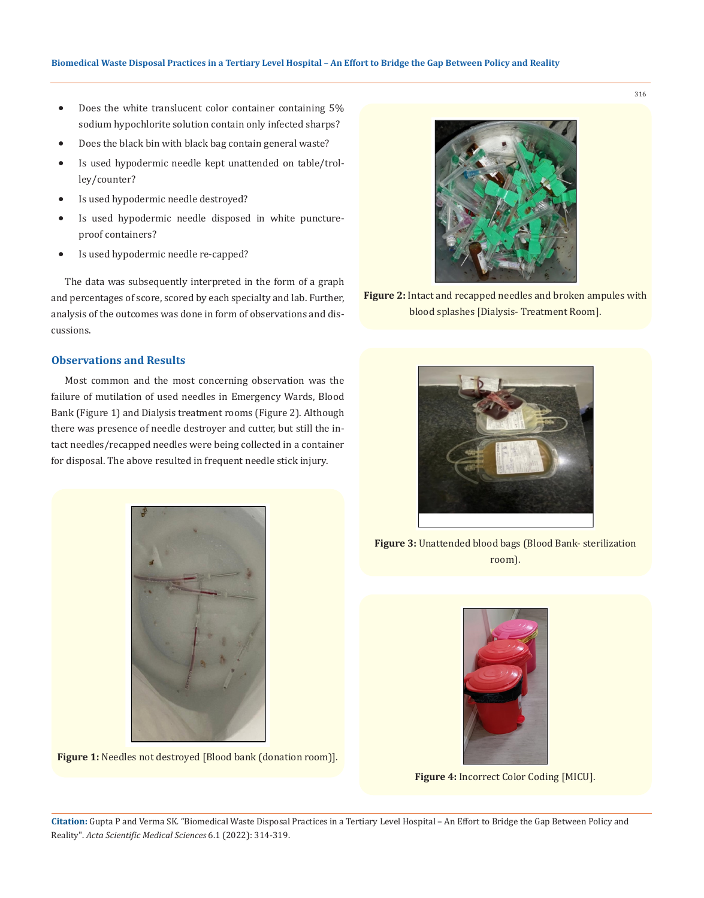- Does the white translucent color container containing 5% sodium hypochlorite solution contain only infected sharps?
- Does the black bin with black bag contain general waste?
- Is used hypodermic needle kept unattended on table/trolley/counter?
- Is used hypodermic needle destroyed?
- Is used hypodermic needle disposed in white punctureproof containers?
- Is used hypodermic needle re-capped?

The data was subsequently interpreted in the form of a graph and percentages of score, scored by each specialty and lab. Further, analysis of the outcomes was done in form of observations and discussions.

## **Observations and Results**

Most common and the most concerning observation was the failure of mutilation of used needles in Emergency Wards, Blood Bank (Figure 1) and Dialysis treatment rooms (Figure 2). Although there was presence of needle destroyer and cutter, but still the intact needles/recapped needles were being collected in a container for disposal. The above resulted in frequent needle stick injury.



Figure 1: Needles not destroyed [Blood bank (donation room]].



**Figure 2:** Intact and recapped needles and broken ampules with blood splashes [Dialysis- Treatment Room].



**Figure 3:** Unattended blood bags (Blood Bank- sterilization room).



**Figure 4:** Incorrect Color Coding [MICU].

316

**Citation:** Gupta P and Verma SK*.* "Biomedical Waste Disposal Practices in a Tertiary Level Hospital – An Effort to Bridge the Gap Between Policy and Reality". *Acta Scientific Medical Sciences* 6.1 (2022): 314-319.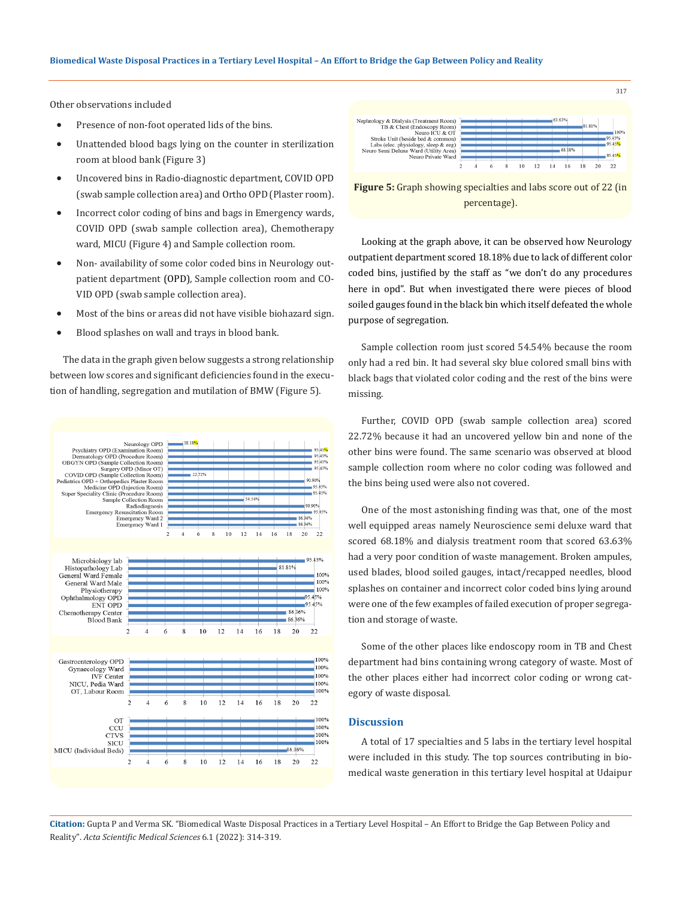Other observations included

- Presence of non-foot operated lids of the bins.
- Unattended blood bags lying on the counter in sterilization room at blood bank (Figure 3)
- Uncovered bins in Radio-diagnostic department, COVID OPD (swab sample collection area) and Ortho OPD (Plaster room).
- Incorrect color coding of bins and bags in Emergency wards, COVID OPD (swab sample collection area), Chemotherapy ward, MICU (Figure 4) and Sample collection room.
- Non- availability of some color coded bins in Neurology outpatient department (OPD), Sample collection room and CO-VID OPD (swab sample collection area).
- Most of the bins or areas did not have visible biohazard sign.
- Blood splashes on wall and trays in blood bank.

The data in the graph given below suggests a strong relationship between low scores and significant deficiencies found in the execution of handling, segregation and mutilation of BMW (Figure 5).





317

**Figure 5:** Graph showing specialties and labs score out of 22 (in percentage).

Looking at the graph above, it can be observed how Neurology outpatient department scored 18.18% due to lack of different color coded bins, justified by the staff as "we don't do any procedures here in opd". But when investigated there were pieces of blood soiled gauges found in the black bin which itself defeated the whole purpose of segregation.

Sample collection room just scored 54.54% because the room only had a red bin. It had several sky blue colored small bins with black bags that violated color coding and the rest of the bins were missing.

Further, COVID OPD (swab sample collection area) scored 22.72% because it had an uncovered yellow bin and none of the other bins were found. The same scenario was observed at blood sample collection room where no color coding was followed and the bins being used were also not covered.

One of the most astonishing finding was that, one of the most well equipped areas namely Neuroscience semi deluxe ward that scored 68.18% and dialysis treatment room that scored 63.63% had a very poor condition of waste management. Broken ampules, used blades, blood soiled gauges, intact/recapped needles, blood splashes on container and incorrect color coded bins lying around were one of the few examples of failed execution of proper segregation and storage of waste.

Some of the other places like endoscopy room in TB and Chest department had bins containing wrong category of waste. Most of the other places either had incorrect color coding or wrong category of waste disposal.

### **Discussion**

A total of 17 specialties and 5 labs in the tertiary level hospital were included in this study. The top sources contributing in biomedical waste generation in this tertiary level hospital at Udaipur

**Citation:** Gupta P and Verma SK*.* "Biomedical Waste Disposal Practices in a Tertiary Level Hospital – An Effort to Bridge the Gap Between Policy and Reality". *Acta Scientific Medical Sciences* 6.1 (2022): 314-319.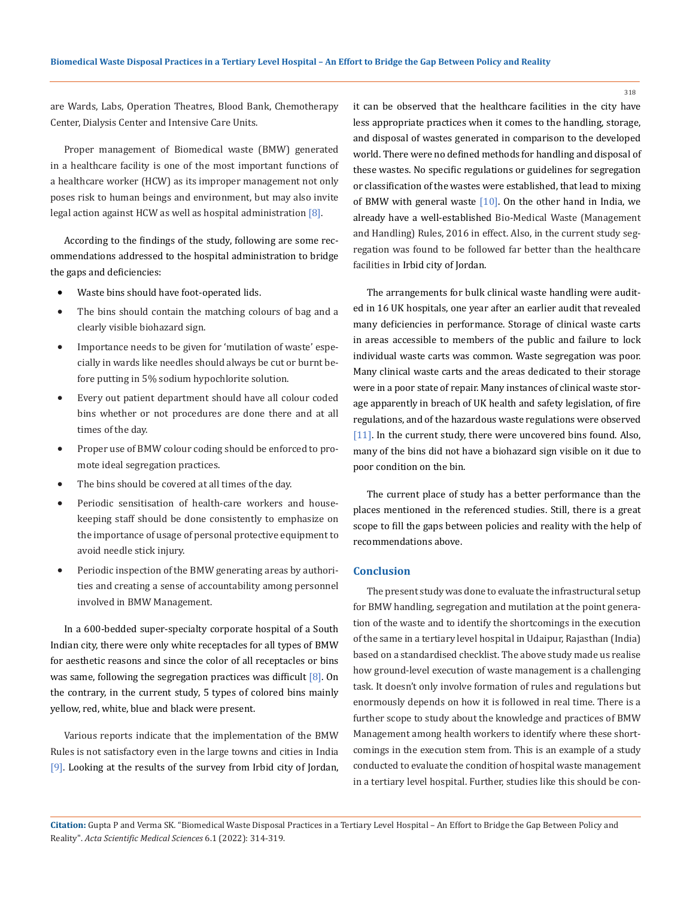are Wards, Labs, Operation Theatres, Blood Bank, Chemotherapy Center, Dialysis Center and Intensive Care Units.

Proper management of Biomedical waste (BMW) generated in a healthcare facility is one of the most important functions of a healthcare worker (HCW) as its improper management not only poses risk to human beings and environment, but may also invite legal action against HCW as well as hospital administration [8].

According to the findings of the study, following are some recommendations addressed to the hospital administration to bridge the gaps and deficiencies:

- Waste bins should have foot-operated lids.
- The bins should contain the matching colours of bag and a clearly visible biohazard sign.
- Importance needs to be given for 'mutilation of waste' especially in wards like needles should always be cut or burnt before putting in 5% sodium hypochlorite solution.
- Every out patient department should have all colour coded bins whether or not procedures are done there and at all times of the day.
- Proper use of BMW colour coding should be enforced to promote ideal segregation practices.
- The bins should be covered at all times of the day.
- Periodic sensitisation of health-care workers and housekeeping staff should be done consistently to emphasize on the importance of usage of personal protective equipment to avoid needle stick injury.
- Periodic inspection of the BMW generating areas by authorities and creating a sense of accountability among personnel involved in BMW Management.

In a 600-bedded super-specialty corporate hospital of a South Indian city, there were only white receptacles for all types of BMW for aesthetic reasons and since the color of all receptacles or bins was same, following the segregation practices was difficult [8]. On the contrary, in the current study, 5 types of colored bins mainly yellow, red, white, blue and black were present.

Various reports indicate that the implementation of the BMW Rules is not satisfactory even in the large towns and cities in India [9]. Looking at the results of the survey from Irbid city of Jordan, it can be observed that the healthcare facilities in the city have less appropriate practices when it comes to the handling, storage, and disposal of wastes generated in comparison to the developed world. There were no defined methods for handling and disposal of these wastes. No specific regulations or guidelines for segregation or classification of the wastes were established, that lead to mixing of BMW with general waste  $[10]$ . On the other hand in India, we already have a well-established Bio-Medical Waste (Management and Handling) Rules, 2016 in effect. Also, in the current study segregation was found to be followed far better than the healthcare facilities in Irbid city of Jordan.

The arrangements for bulk clinical waste handling were audited in 16 UK hospitals, one year after an earlier audit that revealed many deficiencies in performance. Storage of clinical waste carts in areas accessible to members of the public and failure to lock individual waste carts was common. Waste segregation was poor. Many clinical waste carts and the areas dedicated to their storage were in a poor state of repair. Many instances of clinical waste storage apparently in breach of UK health and safety legislation, of fire regulations, and of the hazardous waste regulations were observed [11]. In the current study, there were uncovered bins found. Also, many of the bins did not have a biohazard sign visible on it due to poor condition on the bin.

The current place of study has a better performance than the places mentioned in the referenced studies. Still, there is a great scope to fill the gaps between policies and reality with the help of recommendations above.

#### **Conclusion**

The present study was done to evaluate the infrastructural setup for BMW handling, segregation and mutilation at the point generation of the waste and to identify the shortcomings in the execution of the same in a tertiary level hospital in Udaipur, Rajasthan (India) based on a standardised checklist. The above study made us realise how ground-level execution of waste management is a challenging task. It doesn't only involve formation of rules and regulations but enormously depends on how it is followed in real time. There is a further scope to study about the knowledge and practices of BMW Management among health workers to identify where these shortcomings in the execution stem from. This is an example of a study conducted to evaluate the condition of hospital waste management in a tertiary level hospital. Further, studies like this should be con-

**Citation:** Gupta P and Verma SK*.* "Biomedical Waste Disposal Practices in a Tertiary Level Hospital – An Effort to Bridge the Gap Between Policy and Reality". *Acta Scientific Medical Sciences* 6.1 (2022): 314-319.

318